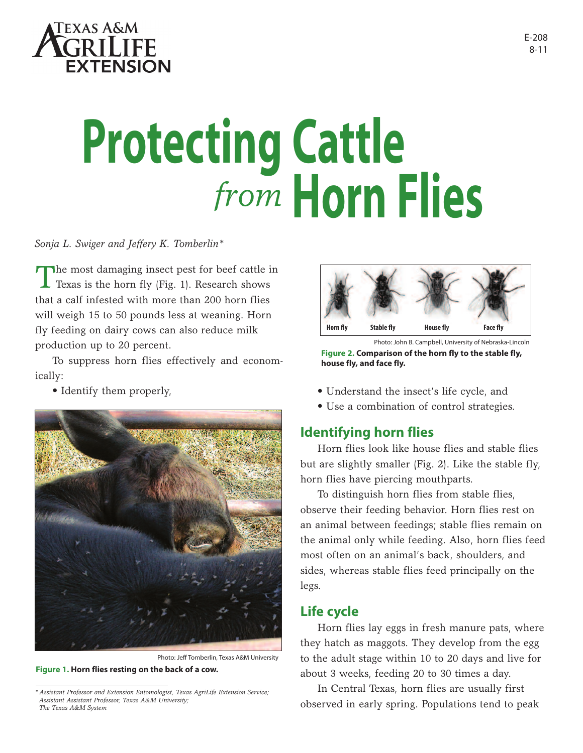

# **Protecting Cattle** *from* **Horn Flies**

*Sonja L. Swiger and Jeffery K. Tomberlin\**

The most damaging insect pest for beef cattle in  $\blacktriangle$  Texas is the horn fly (Fig. 1). Research shows that a calf infested with more than 200 horn flies will weigh 15 to 50 pounds less at weaning. Horn fly feeding on dairy cows can also reduce milk production up to 20 percent.

To suppress horn flies effectively and economically:



Photo: Jeff Tomberlin, Texas A&M University **Figure 1. Horn flies resting on the back of a cow.** 



**Figure 2. Comparison of the horn fly to the stable fly, house fly, and face fly.** 

- Identify them properly,  $\bullet$  Understand the insect's life cycle, and
	- Use a combination of control strategies.

# **Identifying horn flies**

Horn flies look like house flies and stable flies but are slightly smaller (Fig. 2). Like the stable fly, horn flies have piercing mouthparts.

To distinguish horn flies from stable flies, observe their feeding behavior. Horn flies rest on an animal between feedings; stable flies remain on the animal only while feeding. Also, horn flies feed most often on an animal's back, shoulders, and sides, whereas stable flies feed principally on the legs.

# **Life cycle**

Horn flies lay eggs in fresh manure pats, where they hatch as maggots. They develop from the egg to the adult stage within 10 to 20 days and live for about 3 weeks, feeding 20 to 30 times a day.

In Central Texas, horn flies are usually first observed in early spring. Populations tend to peak

*<sup>\*</sup> Assistant Professor and Extension Entomologist, Texas AgriLife Extension Service; Assistant Assistant Professor, Texas A&M University; The Texas A&M System*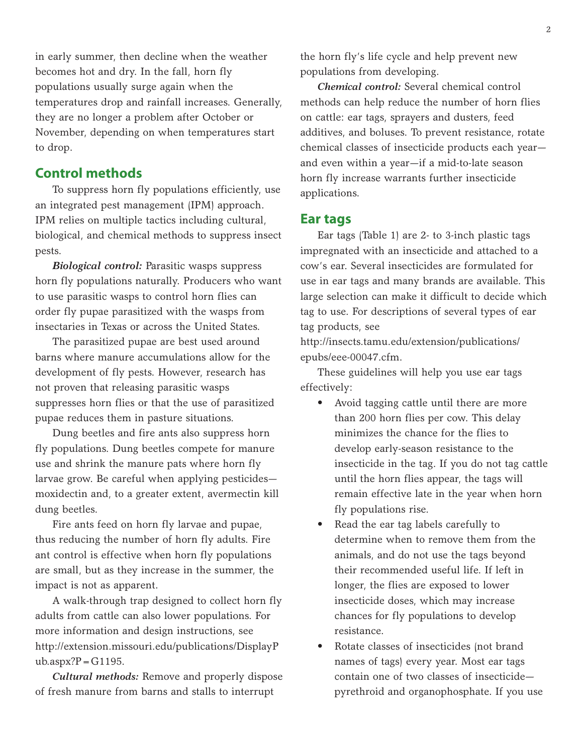in early summer, then decline when the weather becomes hot and dry. In the fall, horn fly populations usually surge again when the temperatures drop and rainfall increases. Generally, they are no longer a problem after October or November, depending on when temperatures start to drop.

# **Control methods**

To suppress horn fly populations efficiently, use an integrated pest management (IPM) approach. IPM relies on multiple tactics including cultural, biological, and chemical methods to suppress insect pests.

*Biological control:* Parasitic wasps suppress horn fly populations naturally. Producers who want to use parasitic wasps to control horn flies can order fly pupae parasitized with the wasps from insectaries in Texas or across the United States.

The parasitized pupae are best used around barns where manure accumulations allow for the development of fly pests. However, research has not proven that releasing parasitic wasps suppresses horn flies or that the use of parasitized pupae reduces them in pasture situations.

Dung beetles and fire ants also suppress horn fly populations. Dung beetles compete for manure use and shrink the manure pats where horn fly larvae grow. Be careful when applying pesticides moxidectin and, to a greater extent, avermectin kill dung beetles.

Fire ants feed on horn fly larvae and pupae, thus reducing the number of horn fly adults. Fire ant control is effective when horn fly populations are small, but as they increase in the summer, the impact is not as apparent.

A walk-through trap designed to collect horn fly adults from cattle can also lower populations. For more information and design instructions, see http://extension.missouri.edu/publications/DisplayP  $ub.$ aspx? $P = G1195$ .

*Cultural methods:* Remove and properly dispose of fresh manure from barns and stalls to interrupt

the horn fly's life cycle and help prevent new populations from developing.

*Chemical control:* Several chemical control methods can help reduce the number of horn flies on cattle: ear tags, sprayers and dusters, feed additives, and boluses. To prevent resistance, rotate chemical classes of insecticide products each year and even within a year—if a mid-to-late season horn fly increase warrants further insecticide applications.

## **Ear tags**

Ear tags (Table 1) are 2- to 3-inch plastic tags impregnated with an insecticide and attached to a cow's ear. Several insecticides are formulated for use in ear tags and many brands are available. This large selection can make it difficult to decide which tag to use. For descriptions of several types of ear tag products, see

http://insects.tamu.edu/extension/publications/ epubs/eee-00047.cfm.

These guidelines will help you use ear tags effectively:

- Avoid tagging cattle until there are more than 200 horn flies per cow. This delay minimizes the chance for the flies to develop early-season resistance to the insecticide in the tag. If you do not tag cattle until the horn flies appear, the tags will remain effective late in the year when horn fly populations rise.
- Read the ear tag labels carefully to determine when to remove them from the animals, and do not use the tags beyond their recommended useful life. If left in longer, the flies are exposed to lower insecticide doses, which may increase chances for fly populations to develop resistance.
- Rotate classes of insecticides (not brand names of tags) every year. Most ear tags contain one of two classes of insecticide pyrethroid and organophosphate. If you use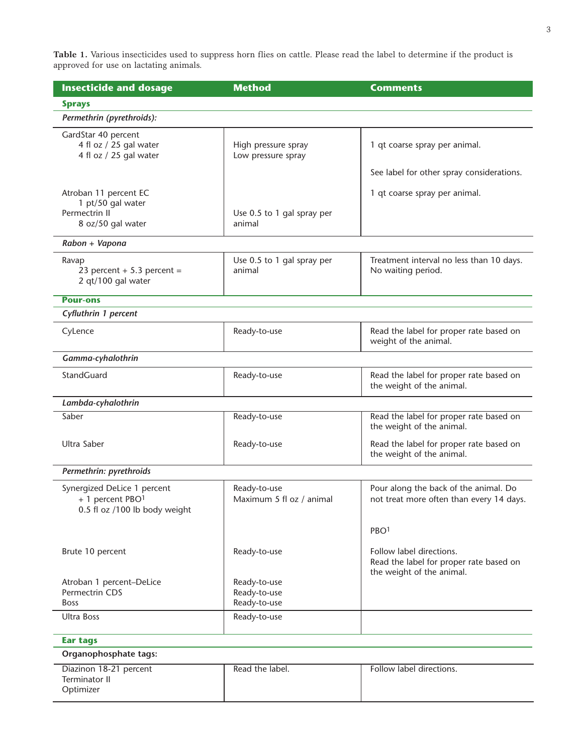**Table 1.** Various insecticides used to suppress horn flies on cattle. Please read the label to determine if the product is approved for use on lactating animals.

| <b>Insecticide and dosage</b>                                                    | <b>Method</b>                                | <b>Comments</b>                                                                                  |
|----------------------------------------------------------------------------------|----------------------------------------------|--------------------------------------------------------------------------------------------------|
| <b>Sprays</b>                                                                    |                                              |                                                                                                  |
| Permethrin (pyrethroids):                                                        |                                              |                                                                                                  |
| GardStar 40 percent<br>4 fl oz / 25 gal water<br>4 fl oz / 25 gal water          | High pressure spray<br>Low pressure spray    | 1 qt coarse spray per animal.                                                                    |
|                                                                                  |                                              | See label for other spray considerations.                                                        |
| Atroban 11 percent EC                                                            |                                              | 1 qt coarse spray per animal.                                                                    |
| 1 pt/50 gal water<br>Permectrin II<br>8 oz/50 gal water                          | Use 0.5 to 1 gal spray per<br>animal         |                                                                                                  |
| Rabon + Vapona                                                                   |                                              |                                                                                                  |
| Ravap<br>23 percent + 5.3 percent =<br>2 qt/100 gal water                        | Use 0.5 to 1 gal spray per<br>animal         | Treatment interval no less than 10 days.<br>No waiting period.                                   |
| <b>Pour-ons</b>                                                                  |                                              |                                                                                                  |
| Cyfluthrin 1 percent                                                             |                                              |                                                                                                  |
| CyLence                                                                          | Ready-to-use                                 | Read the label for proper rate based on<br>weight of the animal.                                 |
| Gamma-cyhalothrin                                                                |                                              |                                                                                                  |
| StandGuard                                                                       | Ready-to-use                                 | Read the label for proper rate based on<br>the weight of the animal.                             |
| Lambda-cyhalothrin                                                               |                                              |                                                                                                  |
| Saber                                                                            | Ready-to-use                                 | Read the label for proper rate based on<br>the weight of the animal.                             |
| Ultra Saber                                                                      | Ready-to-use                                 | Read the label for proper rate based on<br>the weight of the animal.                             |
| Permethrin: pyrethroids                                                          |                                              |                                                                                                  |
| Synergized DeLice 1 percent<br>+ 1 percent PBO1<br>0.5 fl oz /100 lb body weight | Ready-to-use<br>Maximum 5 fl oz / animal     | Pour along the back of the animal. Do<br>not treat more often than every 14 days.                |
|                                                                                  |                                              | PBO <sup>1</sup>                                                                                 |
| Brute 10 percent                                                                 | Ready-to-use                                 | Follow label directions.<br>Read the label for proper rate based on<br>the weight of the animal. |
| Atroban 1 percent-DeLice<br>Permectrin CDS<br><b>Boss</b>                        | Ready-to-use<br>Ready-to-use<br>Ready-to-use |                                                                                                  |
| <b>Ultra Boss</b>                                                                | Ready-to-use                                 |                                                                                                  |
| <b>Ear tags</b>                                                                  |                                              |                                                                                                  |
| Organophosphate tags:                                                            |                                              |                                                                                                  |
| Diazinon 18-21 percent<br><b>Terminator II</b><br>Optimizer                      | Read the label.                              | Follow label directions.                                                                         |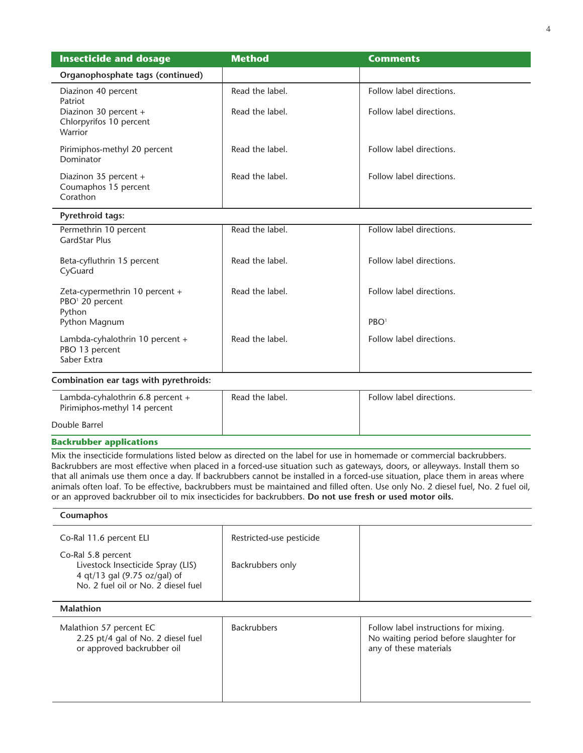| <b>Insecticide and dosage</b>                                           | <b>Method</b>   | <b>Comments</b>          |
|-------------------------------------------------------------------------|-----------------|--------------------------|
| Organophosphate tags (continued)                                        |                 |                          |
| Diazinon 40 percent<br>Patriot                                          | Read the label. | Follow label directions. |
| Diazinon 30 percent +<br>Chlorpyrifos 10 percent<br>Warrior             | Read the label. | Follow label directions. |
| Pirimiphos-methyl 20 percent<br>Dominator                               | Read the label. | Follow label directions. |
| Diazinon 35 percent +<br>Coumaphos 15 percent<br>Corathon               | Read the label. | Follow label directions. |
| <b>Pyrethroid tags:</b>                                                 |                 |                          |
| Permethrin 10 percent<br>GardStar Plus                                  | Read the label. | Follow label directions. |
| Beta-cyfluthrin 15 percent<br>CyGuard                                   | Read the label. | Follow label directions. |
| Zeta-cypermethrin 10 percent +<br>PBO <sup>1</sup> 20 percent<br>Python | Read the label. | Follow label directions. |
| Python Magnum                                                           |                 | PBO <sup>1</sup>         |
| Lambda-cyhalothrin 10 percent +<br>PBO 13 percent<br>Saber Extra        | Read the label. | Follow label directions. |
| $\sim$ $\sim$ $\sim$<br>.                                               |                 |                          |

### **Combination ear tags with pyrethroids:**

| Lambda-cyhalothrin $6.8$ percent $+$<br>Pirimiphos-methyl 14 percent | Read the label. | Follow label directions. |
|----------------------------------------------------------------------|-----------------|--------------------------|
| Double Barrel                                                        |                 |                          |

### **Backrubber applications**

Mix the insecticide formulations listed below as directed on the label for use in homemade or commercial backrubbers. Backrubbers are most effective when placed in a forced-use situation such as gateways, doors, or alleyways. Install them so that all animals use them once a day. If backrubbers cannot be installed in a forced-use situation, place them in areas where animals often loaf. To be effective, backrubbers must be maintained and filled often. Use only No. 2 diesel fuel, No. 2 fuel oil, or an approved backrubber oil to mix insecticides for backrubbers. **Do not use fresh or used motor oils.**

# **Coumaphos** Co-Ral 11.6 percent ELI Restricted-use pesticide Co-Ral 5.8 percent Livestock Insecticide Spray (LIS) Backrubbers only 4 qt/13 gal (9.75 oz/gal) of No. 2 fuel oil or No. 2 diesel fuel **Malathion** Malathion 57 percent EC Backrubbers Backrubbers Follow label instructions for mixing.<br>
2.25 pt/4 gal of No. 2 diesel fuel Backrubbers No waiting period before slaughter No waiting period before slaughter for<br>any of these materials or approved backrubber oil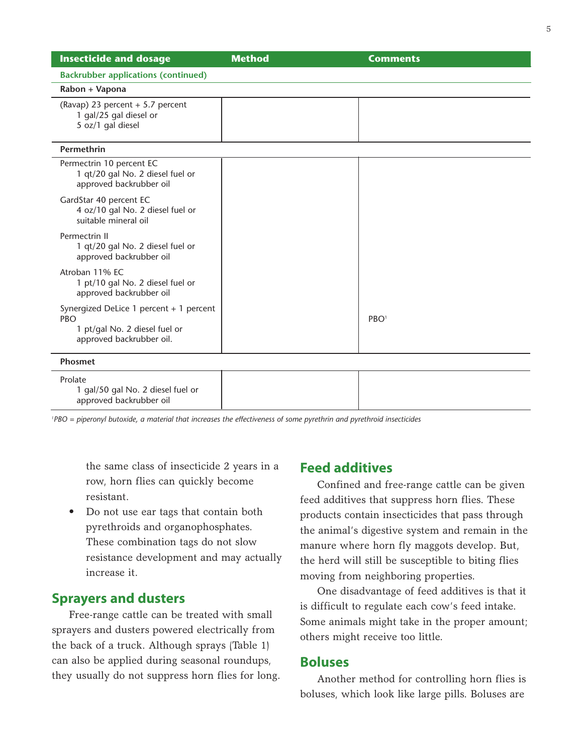| <b>Insecticide and dosage</b>                                                                               | <b>Method</b> | <b>Comments</b>  |
|-------------------------------------------------------------------------------------------------------------|---------------|------------------|
| <b>Backrubber applications (continued)</b>                                                                  |               |                  |
| Rabon + Vapona                                                                                              |               |                  |
| (Ravap) 23 percent + 5.7 percent<br>1 gal/25 gal diesel or<br>5 oz/1 gal diesel                             |               |                  |
| Permethrin                                                                                                  |               |                  |
| Permectrin 10 percent EC<br>1 qt/20 gal No. 2 diesel fuel or<br>approved backrubber oil                     |               |                  |
| GardStar 40 percent EC<br>4 oz/10 gal No. 2 diesel fuel or<br>suitable mineral oil                          |               |                  |
| Permectrin II<br>1 qt/20 gal No. 2 diesel fuel or<br>approved backrubber oil                                |               |                  |
| Atroban 11% EC<br>1 pt/10 gal No. 2 diesel fuel or<br>approved backrubber oil                               |               |                  |
| Synergized DeLice 1 percent + 1 percent<br>PBO<br>1 pt/gal No. 2 diesel fuel or<br>approved backrubber oil. |               | PBO <sup>1</sup> |
| <b>Phosmet</b>                                                                                              |               |                  |
| Prolate<br>1 gal/50 gal No. 2 diesel fuel or<br>approved backrubber oil                                     |               |                  |

'PBO = piperonyl butoxide, a material that increases the effectiveness of some pyrethrin and pyrethroid insecticides

the same class of insecticide 2 years in a row, horn flies can quickly become resistant.

• Do not use ear tags that contain both pyrethroids and organophosphates. These combination tags do not slow resistance development and may actually increase it.

## **Sprayers and dusters**

Free-range cattle can be treated with small sprayers and dusters powered electrically from the back of a truck. Although sprays (Table 1) can also be applied during seasonal roundups, they usually do not suppress horn flies for long.

## **Feed additives**

Confined and free-range cattle can be given feed additives that suppress horn flies. These products contain insecticides that pass through the animal's digestive system and remain in the manure where horn fly maggots develop. But, the herd will still be susceptible to biting flies moving from neighboring properties.

One disadvantage of feed additives is that it is difficult to regulate each cow's feed intake. Some animals might take in the proper amount; others might receive too little.

## **Boluses**

Another method for controlling horn flies is boluses, which look like large pills. Boluses are